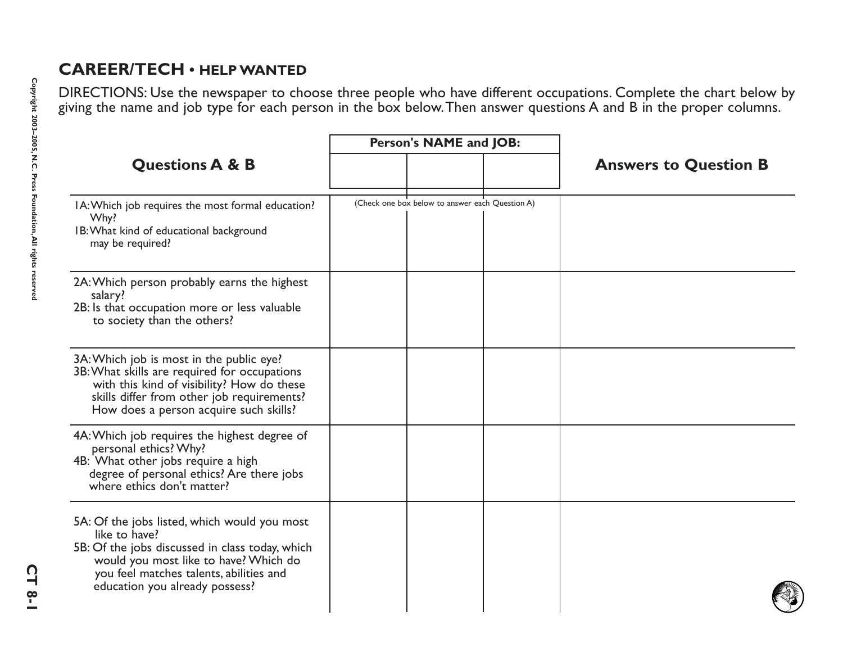## **CAREER/TECH • HELP WANTED**

DIRECTIONS: Use the newspaper to choose three people who have different occupations. Complete the chart below by giving the name and job type for each person in the box below.Then answer questions A and B in the proper columns.

| <b>Questions A &amp; B</b>                                                                                                                                                                                                             | Person's NAME and JOB:                          |                              |
|----------------------------------------------------------------------------------------------------------------------------------------------------------------------------------------------------------------------------------------|-------------------------------------------------|------------------------------|
|                                                                                                                                                                                                                                        |                                                 | <b>Answers to Question B</b> |
| IA: Which job requires the most formal education?<br>Why?<br>IB: What kind of educational background<br>may be required?                                                                                                               | (Check one box below to answer each Question A) |                              |
| 2A: Which person probably earns the highest<br>salary?<br>2B: Is that occupation more or less valuable<br>to society than the others?                                                                                                  |                                                 |                              |
| 3A: Which job is most in the public eye?<br>3B: What skills are required for occupations<br>with this kind of visibility? How do these<br>skills differ from other job requirements?<br>How does a person acquire such skills?         |                                                 |                              |
| 4A: Which job requires the highest degree of<br>personal ethics? Why?<br>4B: What other jobs require a high<br>degree of personal ethics? Are there jobs<br>where ethics don't matter?                                                 |                                                 |                              |
| 5A: Of the jobs listed, which would you most<br>like to have?<br>5B: Of the jobs discussed in class today, which<br>would you most like to have? Which do<br>you feel matches talents, abilities and<br>education you already possess? |                                                 |                              |

**CT 8-1**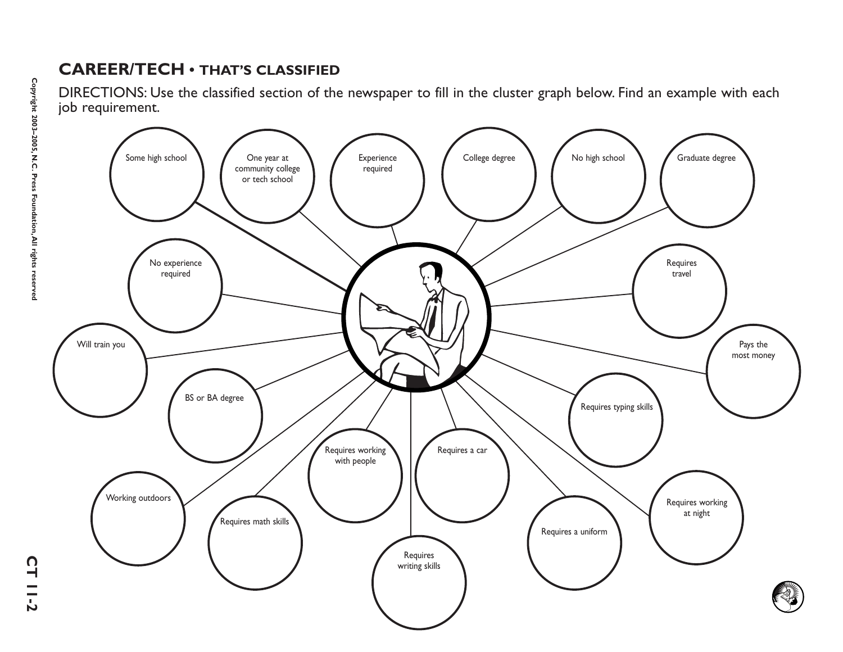## **CAREER/TECH • THAT'S CLASSIFIED**

DIRECTIONS: Use the classified section of the newspaper to fill in the cluster graph below. Find an example with each job requirement.



**CT 11-2**